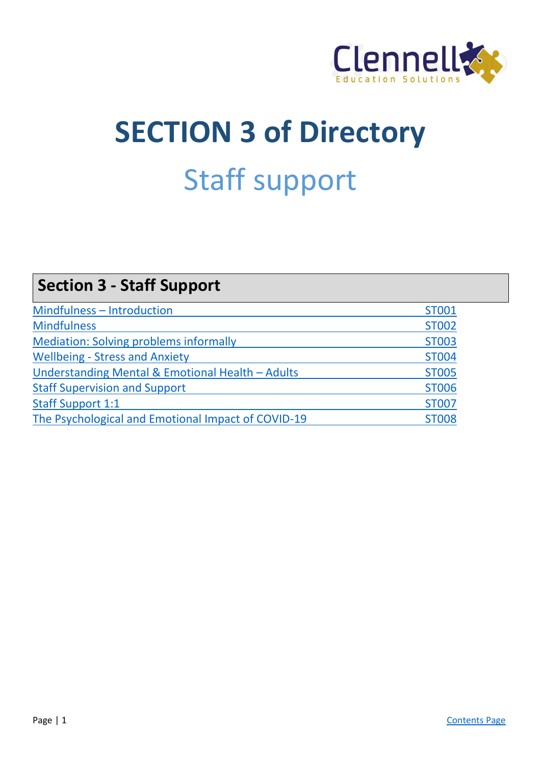

# **SECTION 3 of Directory** Staff support

| <b>Section 3 - Staff Support</b>                   |              |
|----------------------------------------------------|--------------|
| Mindfulness - Introduction                         | <b>ST001</b> |
| <b>Mindfulness</b>                                 | <b>ST002</b> |
| <b>Mediation: Solving problems informally</b>      | <b>ST003</b> |
| <b>Wellbeing - Stress and Anxiety</b>              | <b>ST004</b> |
| Understanding Mental & Emotional Health - Adults   | <b>ST005</b> |
| <b>Staff Supervision and Support</b>               | <b>ST006</b> |
| <b>Staff Support 1:1</b>                           | <b>ST007</b> |
| The Psychological and Emotional Impact of COVID-19 | <b>ST008</b> |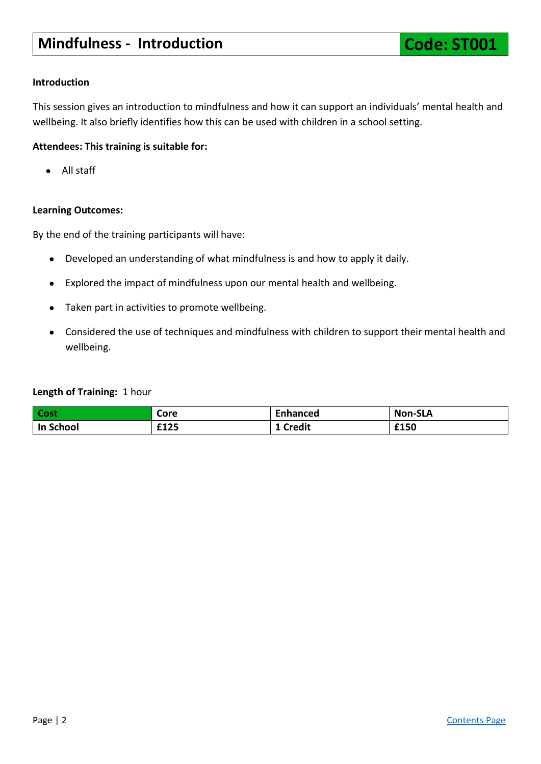<span id="page-1-0"></span>This session gives an introduction to mindfulness and how it can support an individuals' mental health and wellbeing. It also briefly identifies how this can be used with children in a school setting.

# **Attendees: This training is suitable for:**

● All staff

# **Learning Outcomes:**

By the end of the training participants will have:

- Developed an understanding of what mindfulness is and how to apply it daily.
- Explored the impact of mindfulness upon our mental health and wellbeing.
- Taken part in activities to promote wellbeing.
- Considered the use of techniques and mindfulness with children to support their mental health and wellbeing.

# **Length of Training:** 1 hour

| <b>Cost</b>         | Core | Enhanced | <b>Non-SLA</b> |
|---------------------|------|----------|----------------|
| School<br><u>In</u> | £125 | Credit   | £150           |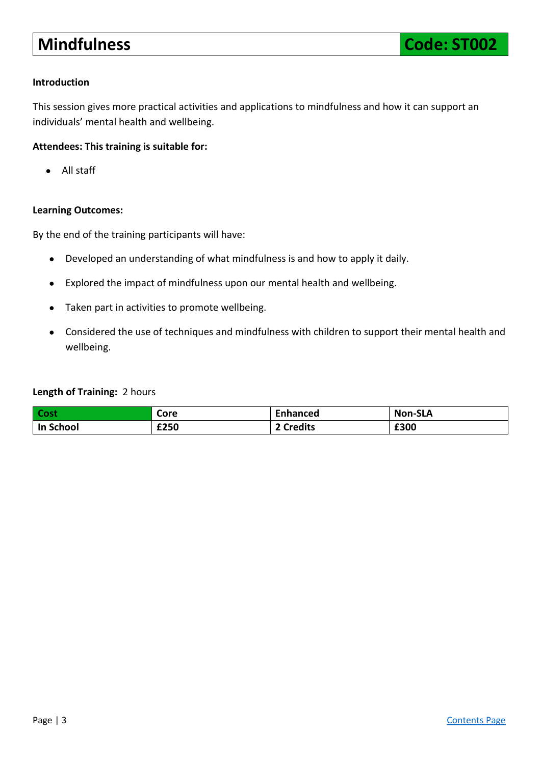# <span id="page-2-0"></span>**Mindfulness Code: ST002**

# **Introduction**

This session gives more practical activities and applications to mindfulness and how it can support an individuals' mental health and wellbeing.

# **Attendees: This training is suitable for:**

● All staff

# **Learning Outcomes:**

By the end of the training participants will have:

- Developed an understanding of what mindfulness is and how to apply it daily.
- Explored the impact of mindfulness upon our mental health and wellbeing.
- Taken part in activities to promote wellbeing.
- Considered the use of techniques and mindfulness with children to support their mental health and wellbeing.

# **Length of Training:** 2 hours

| <b>Cost</b> | Core | <b>Enhanced</b> | <b>Non-SLA</b> |
|-------------|------|-----------------|----------------|
| In School   | £250 | 2 Credits       | £300           |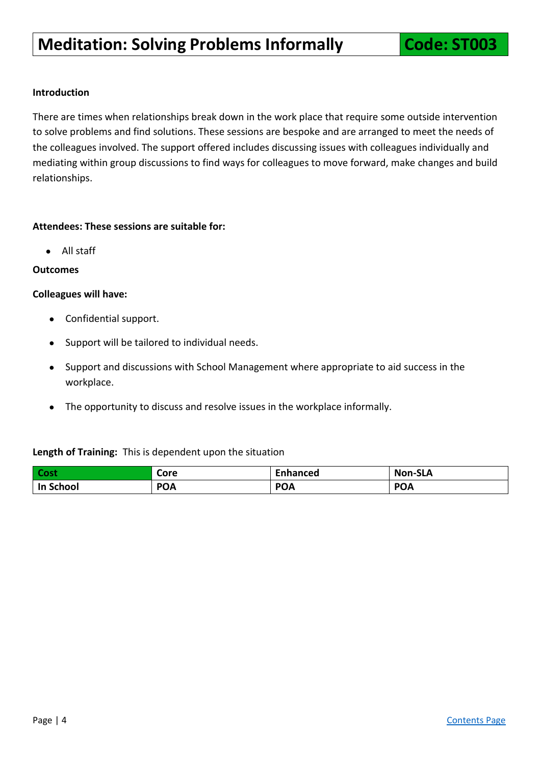<span id="page-3-0"></span>There are times when relationships break down in the work place that require some outside intervention to solve problems and find solutions. These sessions are bespoke and are arranged to meet the needs of the colleagues involved. The support offered includes discussing issues with colleagues individually and mediating within group discussions to find ways for colleagues to move forward, make changes and build relationships.

# **Attendees: These sessions are suitable for:**

● All staff

# **Outcomes**

#### **Colleagues will have:**

- Confidential support.
- Support will be tailored to individual needs.
- Support and discussions with School Management where appropriate to aid success in the workplace.
- The opportunity to discuss and resolve issues in the workplace informally.

# **Length of Training:** This is dependent upon the situation

| Cost      | Core       | Enhanced   | <b>Non-SLA</b> |
|-----------|------------|------------|----------------|
| In School | <b>POA</b> | <b>POA</b> | <b>POA</b>     |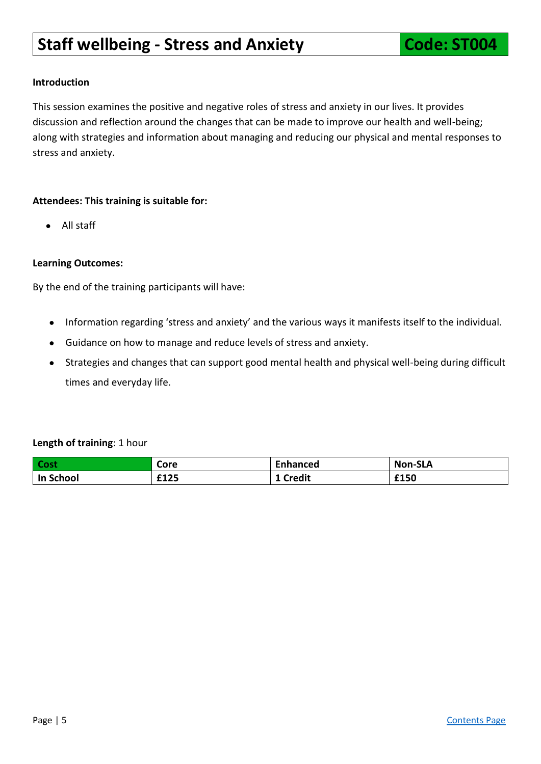# <span id="page-4-0"></span>**Staff wellbeing - Stress and Anxiety <b>Code: ST004**

# **Introduction**

This session examines the positive and negative roles of stress and anxiety in our lives. It provides discussion and reflection around the changes that can be made to improve our health and well-being; along with strategies and information about managing and reducing our physical and mental responses to stress and anxiety.

# **Attendees: This training is suitable for:**

● All staff

#### **Learning Outcomes:**

By the end of the training participants will have:

- Information regarding 'stress and anxiety' and the various ways it manifests itself to the individual.
- Guidance on how to manage and reduce levels of stress and anxiety.
- Strategies and changes that can support good mental health and physical well-being during difficult times and everyday life.

#### **Length of training**: 1 hour

| <b>Cost</b> | Core | Enhanced      | <b>Non-SLA</b> |
|-------------|------|---------------|----------------|
| In School   | £125 | <b>Credit</b> | £150           |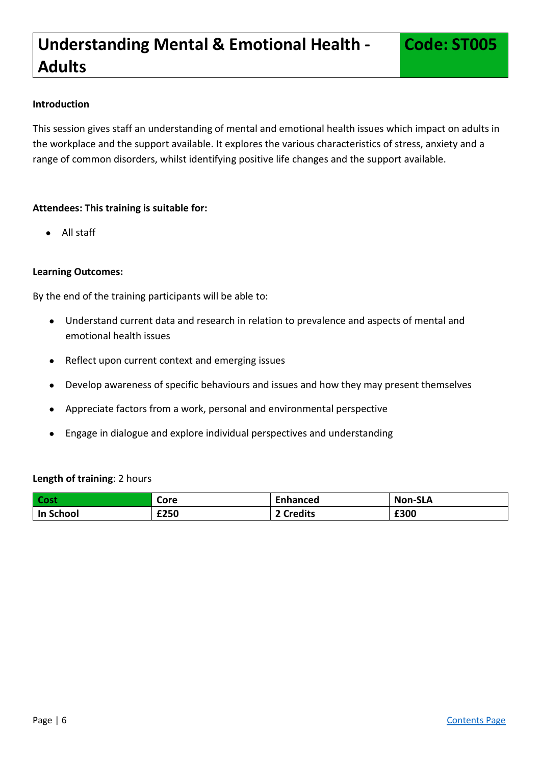<span id="page-5-0"></span>This session gives staff an understanding of mental and emotional health issues which impact on adults in the workplace and the support available. It explores the various characteristics of stress, anxiety and a range of common disorders, whilst identifying positive life changes and the support available.

# **Attendees: This training is suitable for:**

● All staff

# **Learning Outcomes:**

By the end of the training participants will be able to:

- Understand current data and research in relation to prevalence and aspects of mental and emotional health issues
- Reflect upon current context and emerging issues
- Develop awareness of specific behaviours and issues and how they may present themselves
- Appreciate factors from a work, personal and environmental perspective
- Engage in dialogue and explore individual perspectives and understanding

# **Length of training**: 2 hours

| <b>Cost</b> | Core | Enhanced         | <b>Non-SLA</b> |
|-------------|------|------------------|----------------|
| In School   | £250 | <b>↑ Credits</b> | £300           |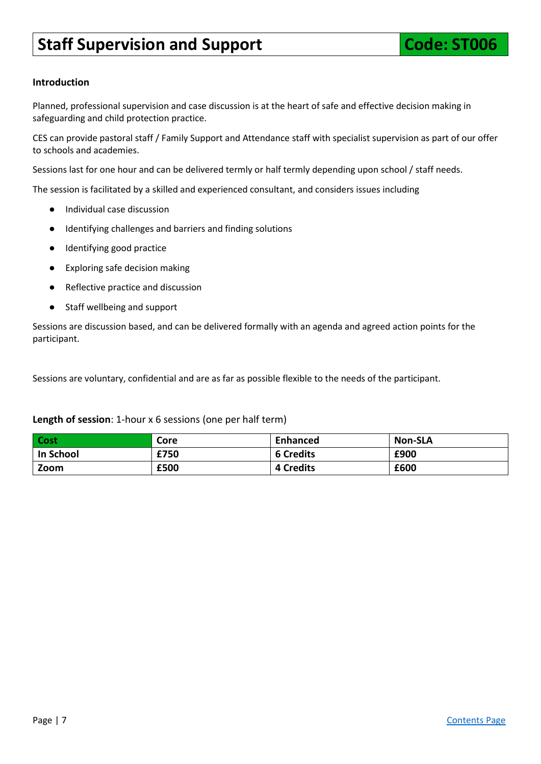# <span id="page-6-0"></span>**Staff Supervision and Support Code: ST006**

# **Introduction**

Planned, professional supervision and case discussion is at the heart of safe and effective decision making in safeguarding and child protection practice.

CES can provide pastoral staff / Family Support and Attendance staff with specialist supervision as part of our offer to schools and academies.

Sessions last for one hour and can be delivered termly or half termly depending upon school / staff needs.

The session is facilitated by a skilled and experienced consultant, and considers issues including

- Individual case discussion
- Identifying challenges and barriers and finding solutions
- Identifying good practice
- Exploring safe decision making
- Reflective practice and discussion
- Staff wellbeing and support

Sessions are discussion based, and can be delivered formally with an agenda and agreed action points for the participant.

Sessions are voluntary, confidential and are as far as possible flexible to the needs of the participant.

#### **Length of session**: 1-hour x 6 sessions (one per half term)

| Cost      | Core | Enhanced         | <b>Non-SLA</b> |
|-----------|------|------------------|----------------|
| In School | £750 | <b>6 Credits</b> | £900           |
| Zoom      | £500 | <b>4 Credits</b> | £600           |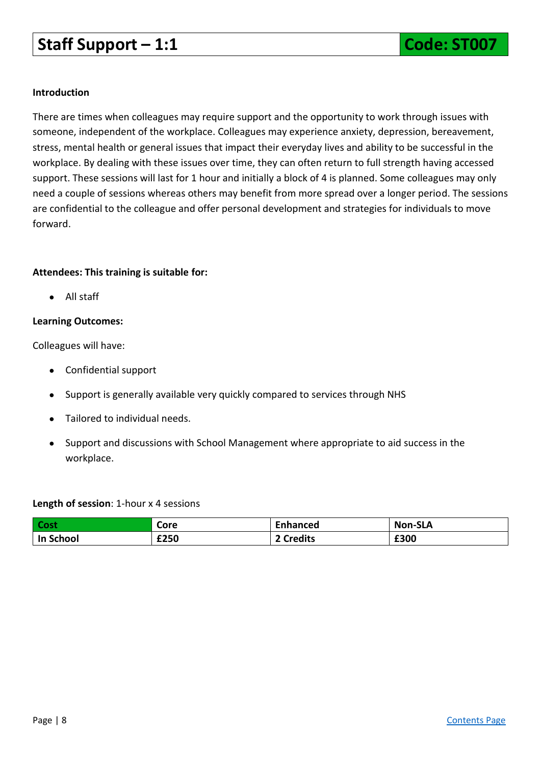# <span id="page-7-0"></span>**Staff Support – 1:1 Code: ST007**

# **Introduction**

There are times when colleagues may require support and the opportunity to work through issues with someone, independent of the workplace. Colleagues may experience anxiety, depression, bereavement, stress, mental health or general issues that impact their everyday lives and ability to be successful in the workplace. By dealing with these issues over time, they can often return to full strength having accessed support. These sessions will last for 1 hour and initially a block of 4 is planned. Some colleagues may only need a couple of sessions whereas others may benefit from more spread over a longer period. The sessions are confidential to the colleague and offer personal development and strategies for individuals to move forward.

# **Attendees: This training is suitable for:**

● All staff

# **Learning Outcomes:**

Colleagues will have:

- Confidential support
- Support is generally available very quickly compared to services through NHS
- Tailored to individual needs.
- Support and discussions with School Management where appropriate to aid success in the workplace.

# **Length of session**: 1-hour x 4 sessions

| Cost             | Core | Enhanced | <b>Non-SLA</b> |
|------------------|------|----------|----------------|
| <b>In School</b> | £250 | Credits: | £300           |